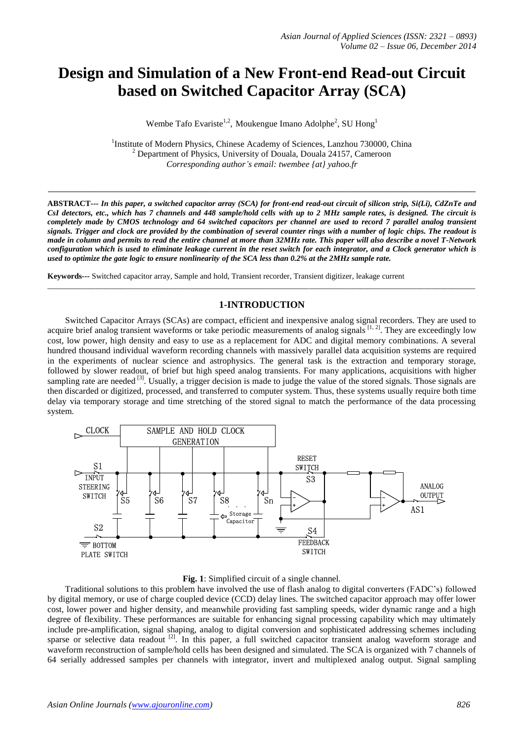# **Design and Simulation of a New Front-end Read-out Circuit based on Switched Capacitor Array (SCA)**

Wembe Tafo Evariste<sup>1,2</sup>, Moukengue Imano Adolphe<sup>2</sup>, SU Hong<sup>1</sup>

<sup>1</sup>Institute of Modern Physics, Chinese Academy of Sciences, Lanzhou 730000, China  $2^{2}$  Department of Physics, University of Douala, Douala 24157, Cameroon *Corresponding author's email: twembee {at} yahoo.fr*

*\_\_\_\_\_\_\_\_\_\_\_\_\_\_\_\_\_\_\_\_\_\_\_\_\_\_\_\_\_\_\_\_\_\_\_\_\_\_\_\_\_\_\_\_\_\_\_\_\_\_\_\_\_\_\_\_\_\_\_\_\_\_\_\_\_\_\_\_\_\_\_\_\_\_\_\_\_\_\_\_\_*

**ABSTRACT***--- In this paper, a switched capacitor array (SCA) for front-end read-out circuit of silicon strip, Si(Li), CdZnTe and CsI detectors, etc., which has 7 channels and 448 sample/hold cells with up to 2 MHz sample rates, is designed. The circuit is completely made by CMOS technology and 64 switched capacitors per channel are used to record 7 parallel analog transient signals. Trigger and clock are provided by the combination of several counter rings with a number of logic chips. The readout is made in column and permits to read the entire channel at more than 32MHz rate. This paper will also describe a novel T-Network configuration which is used to eliminate leakage current in the reset switch for each integrator, and a Clock generator which is used to optimize the gate logic to ensure nonlinearity of the SCA less than 0.2% at the 2MHz sample rate.*

**Keywords---** Switched capacitor array, Sample and hold, Transient recorder, Transient digitizer, leakage current

# **1-INTRODUCTION**

\_\_\_\_\_\_\_\_\_\_\_\_\_\_\_\_\_\_\_\_\_\_\_\_\_\_\_\_\_\_\_\_\_\_\_\_\_\_\_\_\_\_\_\_\_\_\_\_\_\_\_\_\_\_\_\_\_\_\_\_\_\_\_\_\_\_\_\_\_\_\_\_\_\_\_\_\_\_\_\_\_\_\_\_\_\_\_\_\_\_\_\_\_\_\_\_\_\_\_\_\_\_\_\_\_\_\_\_

Switched Capacitor Arrays (SCAs) are compact, efficient and inexpensive analog signal recorders. They are used to acquire brief analog transient waveforms or take periodic measurements of analog signals  $[1, 2]$ . They are exceedingly low cost, low power, high density and easy to use as a replacement for ADC and digital memory combinations. A several hundred thousand individual waveform recording channels with massively parallel data acquisition systems are required in the experiments of nuclear science and astrophysics. The general task is the extraction and temporary storage, followed by slower readout, of brief but high speed analog transients. For many applications, acquisitions with higher sampling rate are needed  $\left[3\right]$ . Usually, a trigger decision is made to judge the value of the stored signals. Those signals are then discarded or digitized, processed, and transferred to computer system. Thus, these systems usually require both time delay via temporary storage and time stretching of the stored signal to match the performance of the data processing system.



#### **Fig. 1**: Simplified circuit of a single channel.

Traditional solutions to this problem have involved the use of flash analog to digital converters (FADC's) followed by digital memory, or use of charge coupled device (CCD) delay lines. The switched capacitor approach may offer lower cost, lower power and higher density, and meanwhile providing fast sampling speeds, wider dynamic range and a high degree of flexibility. These performances are suitable for enhancing signal processing capability which may ultimately include pre-amplification, signal shaping, analog to digital conversion and sophisticated addressing schemes including sparse or selective data readout <sup>[2]</sup>. In this paper, a full switched capacitor transient analog waveform storage and waveform reconstruction of sample/hold cells has been designed and simulated. The SCA is organized with 7 channels of 64 serially addressed samples per channels with integrator, invert and multiplexed analog output. Signal sampling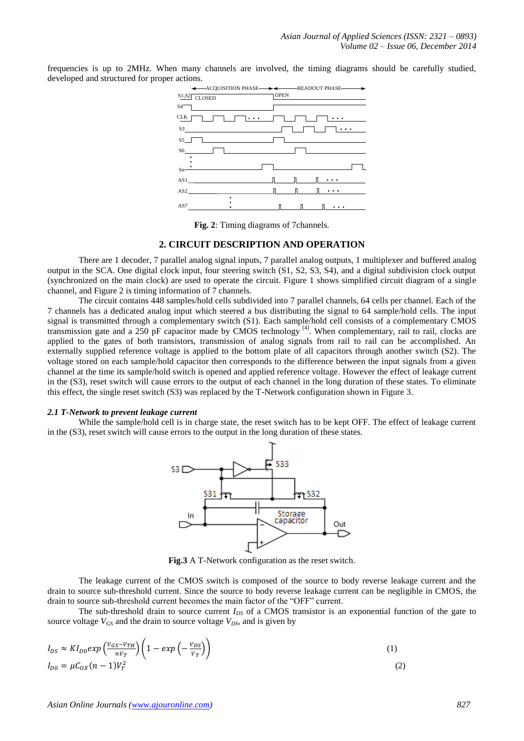frequencies is up to 2MHz. When many channels are involved, the timing diagrams should be carefully studied, developed and structured for proper actions.



**Fig. 2**: Timing diagrams of 7channels.

## **2. CIRCUIT DESCRIPTION AND OPERATION**

There are 1 decoder, 7 parallel analog signal inputs, 7 parallel analog outputs, 1 multiplexer and buffered analog output in the SCA. One digital clock input, four steering switch (S1, S2, S3, S4), and a digital subdivision clock output (synchronized on the main clock) are used to operate the circuit. Figure 1 shows simplified circuit diagram of a single channel, and Figure 2 is timing information of 7 channels.

The circuit contains 448 samples/hold cells subdivided into 7 parallel channels, 64 cells per channel. Each of the 7 channels has a dedicated analog input which steered a bus distributing the signal to 64 sample/hold cells. The input signal is transmitted through a complementary switch (S1). Each sample/hold cell consists of a complementary CMOS transmission gate and a 250 pF capacitor made by CMOS technology  $\binom{41}{4}$ . When complementary, rail to rail, clocks are applied to the gates of both transistors, transmission of analog signals from rail to rail can be accomplished. An externally supplied reference voltage is applied to the bottom plate of all capacitors through another switch (S2). The voltage stored on each sample/hold capacitor then corresponds to the difference between the input signals from a given channel at the time its sample/hold switch is opened and applied reference voltage. However the effect of leakage current in the (S3), reset switch will cause errors to the output of each channel in the long duration of these states. To eliminate this effect, the single reset switch (S3) was replaced by the T-Network configuration shown in Figure 3.

#### *2.1 T-Network to prevent leakage current*

While the sample/hold cell is in charge state, the reset switch has to be kept OFF. The effect of leakage current in the (S3), reset switch will cause errors to the output in the long duration of these states.



**Fig.3** A T-Network configuration as the reset switch.

The leakage current of the CMOS switch is composed of the source to body reverse leakage current and the drain to source sub-threshold current. Since the source to body reverse leakage current can be negligible in CMOS, the drain to source sub-threshold current becomes the main factor of the "OFF" current.

The sub-threshold drain to source current  $I_{DS}$  of a CMOS transistor is an exponential function of the gate to source voltage  $V_{GS}$  and the drain to source voltage  $V_{DS}$ , and is given by

$$
I_{DS} \approx K I_{D0} exp\left(\frac{V_{GS} - V_{TH}}{nV_T}\right) \left(1 - exp\left(-\frac{V_{DS}}{V_T}\right)\right)
$$
\n
$$
I_{D0} = \mu C_{OX} (n-1) V_T^2
$$
\n(2)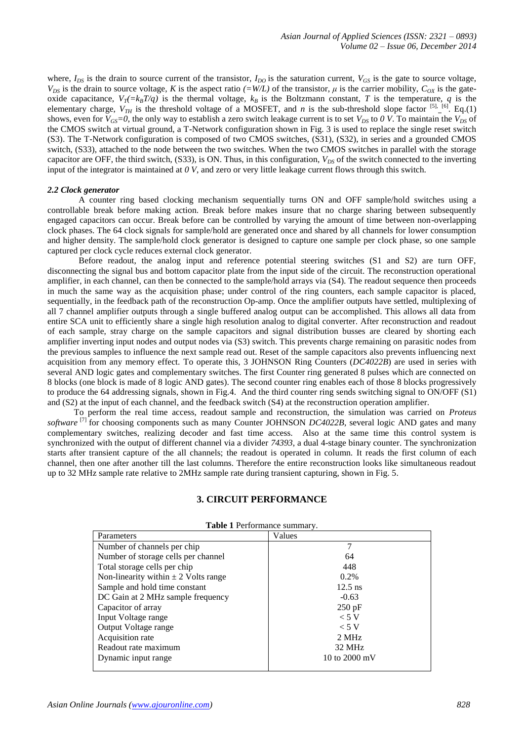where,  $I_{DS}$  is the drain to source current of the transistor,  $I_{DO}$  is the saturation current,  $V_{GS}$  is the gate to source voltage,  $V_{DS}$  is the drain to source voltage, *K* is the aspect ratio  $(=W/L)$  of the transistor,  $\mu$  is the carrier mobility,  $C_{OX}$  is the gateoxide capacitance,  $V_T = k_B T/q$  is the thermal voltage,  $k_B$  is the Boltzmann constant, *T* is the temperature, *q* is the elementary charge,  $V_{TH}$  is the threshold voltage of a MOSFET, and *n* is the sub-threshold slope factor <sup>[5]</sup>. <sup>[6]</sup>. Eq.(1) shows, even for  $V_{GS} = 0$ , the only way to establish a zero switch leakage current is to set  $V_{DS}$  to 0 *V*. To maintain the  $V_{DS}$  of the CMOS switch at virtual ground, a T-Network configuration shown in Fig. 3 is used to replace the single reset switch (S3). The T-Network configuration is composed of two CMOS switches, (S31), (S32), in series and a grounded CMOS switch, (S33), attached to the node between the two switches. When the two CMOS switches in parallel with the storage capacitor are OFF, the third switch, (S33), is ON. Thus, in this configuration,  $V_{DS}$  of the switch connected to the inverting input of the integrator is maintained at *0 V*, and zero or very little leakage current flows through this switch.

#### *2.2 Clock generator*

A counter ring based clocking mechanism sequentially turns ON and OFF sample/hold switches using a controllable break before making action. Break before makes insure that no charge sharing between subsequently engaged capacitors can occur. Break before can be controlled by varying the amount of time between non-overlapping clock phases. The 64 clock signals for sample/hold are generated once and shared by all channels for lower consumption and higher density. The sample/hold clock generator is designed to capture one sample per clock phase, so one sample captured per clock cycle reduces external clock generator.

Before readout, the analog input and reference potential steering switches (S1 and S2) are turn OFF, disconnecting the signal bus and bottom capacitor plate from the input side of the circuit. The reconstruction operational amplifier, in each channel, can then be connected to the sample/hold arrays via (S4). The readout sequence then proceeds in much the same way as the acquisition phase; under control of the ring counters, each sample capacitor is placed, sequentially, in the feedback path of the reconstruction Op-amp. Once the amplifier outputs have settled, multiplexing of all 7 channel amplifier outputs through a single buffered analog output can be accomplished. This allows all data from entire SCA unit to efficiently share a single high resolution analog to digital converter. After reconstruction and readout of each sample, stray charge on the sample capacitors and signal distribution busses are cleared by shorting each amplifier inverting input nodes and output nodes via (S3) switch. This prevents charge remaining on parasitic nodes from the previous samples to influence the next sample read out. Reset of the sample capacitors also prevents influencing next acquisition from any memory effect. To operate this, 3 JOHNSON Ring Counters (*DC4022B*) are used in series with several AND logic gates and complementary switches. The first Counter ring generated 8 pulses which are connected on 8 blocks (one block is made of 8 logic AND gates). The second counter ring enables each of those 8 blocks progressively to produce the 64 addressing signals, shown in Fig.4. And the third counter ring sends switching signal to ON/OFF (S1) and (S2) at the input of each channel, and the feedback switch (S4) at the reconstruction operation amplifier.

To perform the real time access, readout sample and reconstruction, the simulation was carried on *Proteus software* [7] for choosing components such as many Counter JOHNSON *DC4022B*, several logic AND gates and many complementary switches, realizing decoder and fast time access. Also at the same time this control system is synchronized with the output of different channel via a divider *74393*, a dual 4-stage binary counter. The synchronization starts after transient capture of the all channels; the readout is operated in column. It reads the first column of each channel, then one after another till the last columns. Therefore the entire reconstruction looks like simultaneous readout up to 32 MHz sample rate relative to 2MHz sample rate during transient capturing, shown in Fig. 5.

## **3. CIRCUIT PERFORMANCE**

| Parameters                               | Values                  |
|------------------------------------------|-------------------------|
| Number of channels per chip              | 7                       |
| Number of storage cells per channel      | 64                      |
| Total storage cells per chip             | 448                     |
| Non-linearity within $\pm$ 2 Volts range | $0.2\%$                 |
| Sample and hold time constant            | $12.5$ ns               |
| DC Gain at 2 MHz sample frequency        | $-0.63$                 |
| Capacitor of array                       | $250$ pF                |
| Input Voltage range                      | < 5 V                   |
| Output Voltage range                     | < 5 V                   |
| Acquisition rate                         | 2 MHz                   |
| Readout rate maximum                     | 32 MHz                  |
| Dynamic input range                      | 10 to $2000 \text{ mV}$ |

# **Table 1** Performance summary.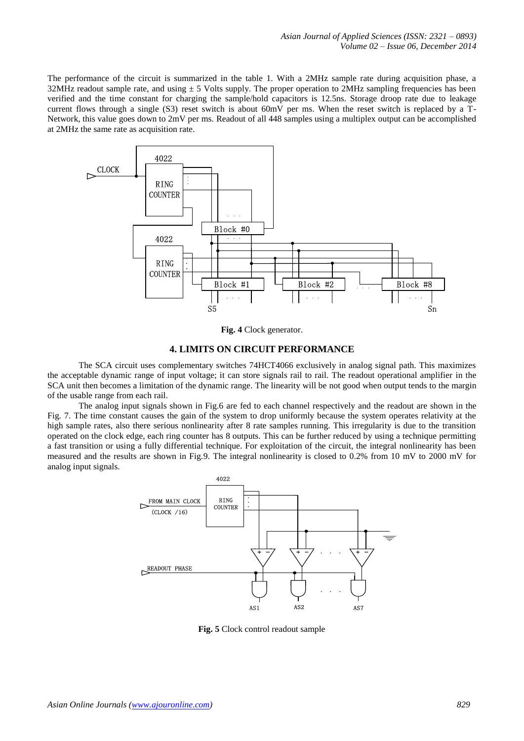The performance of the circuit is summarized in the table 1. With a 2MHz sample rate during acquisition phase, a 32MHz readout sample rate, and using  $\pm$  5 Volts supply. The proper operation to 2MHz sampling frequencies has been verified and the time constant for charging the sample/hold capacitors is 12.5ns. Storage droop rate due to leakage current flows through a single (S3) reset switch is about 60mV per ms. When the reset switch is replaced by a T-Network, this value goes down to 2mV per ms. Readout of all 448 samples using a multiplex output can be accomplished at 2MHz the same rate as acquisition rate.



**Fig. 4** Clock generator.

## **4. LIMITS ON CIRCUIT PERFORMANCE**

The SCA circuit uses complementary switches 74HCT4066 exclusively in analog signal path. This maximizes the acceptable dynamic range of input voltage; it can store signals rail to rail. The readout operational amplifier in the SCA unit then becomes a limitation of the dynamic range. The linearity will be not good when output tends to the margin of the usable range from each rail.

The analog input signals shown in Fig.6 are fed to each channel respectively and the readout are shown in the Fig. 7. The time constant causes the gain of the system to drop uniformly because the system operates relativity at the high sample rates, also there serious nonlinearity after 8 rate samples running. This irregularity is due to the transition operated on the clock edge, each ring counter has 8 outputs. This can be further reduced by using a technique permitting a fast transition or using a fully differential technique. For exploitation of the circuit, the integral nonlinearity has been measured and the results are shown in Fig.9. The integral nonlinearity is closed to 0.2% from 10 mV to 2000 mV for analog input signals.



**Fig. 5** Clock control readout sample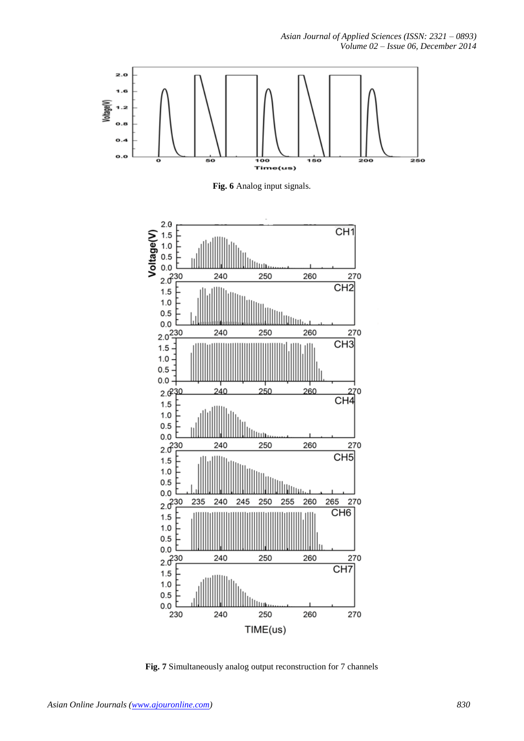



**Fig. 7** Simultaneously analog output reconstruction for 7 channels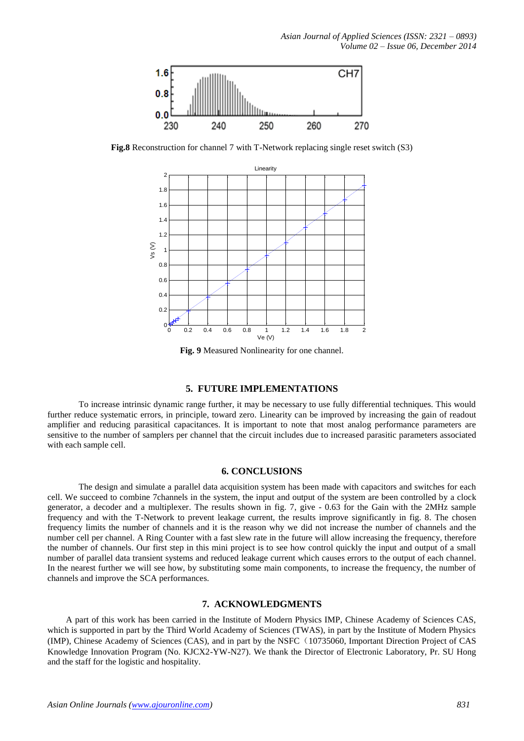

**Fig.8** Reconstruction for channel 7 with T-Network replacing single reset switch (S3)



**Fig. 9** Measured Nonlinearity for one channel.

#### **5. FUTURE IMPLEMENTATIONS**

To increase intrinsic dynamic range further, it may be necessary to use fully differential techniques. This would further reduce systematic errors, in principle, toward zero. Linearity can be improved by increasing the gain of readout amplifier and reducing parasitical capacitances. It is important to note that most analog performance parameters are sensitive to the number of samplers per channel that the circuit includes due to increased parasitic parameters associated with each sample cell.

#### **6. CONCLUSIONS**

The design and simulate a parallel data acquisition system has been made with capacitors and switches for each cell. We succeed to combine 7channels in the system, the input and output of the system are been controlled by a clock generator, a decoder and a multiplexer. The results shown in fig. 7, give - 0.63 for the Gain with the 2MHz sample frequency and with the T-Network to prevent leakage current, the results improve significantly in fig. 8. The chosen frequency limits the number of channels and it is the reason why we did not increase the number of channels and the number cell per channel. A Ring Counter with a fast slew rate in the future will allow increasing the frequency, therefore the number of channels. Our first step in this mini project is to see how control quickly the input and output of a small number of parallel data transient systems and reduced leakage current which causes errors to the output of each channel. In the nearest further we will see how, by substituting some main components, to increase the frequency, the number of channels and improve the SCA performances.

# **7. ACKNOWLEDGMENTS**

A part of this work has been carried in the Institute of Modern Physics IMP, Chinese Academy of Sciences CAS, which is supported in part by the Third World Academy of Sciences (TWAS), in part by the Institute of Modern Physics (IMP), Chinese Academy of Sciences (CAS), and in part by the NSFC(10735060, Important Direction Project of CAS Knowledge Innovation Program (No. KJCX2-YW-N27). We thank the Director of Electronic Laboratory, Pr. SU Hong and the staff for the logistic and hospitality.